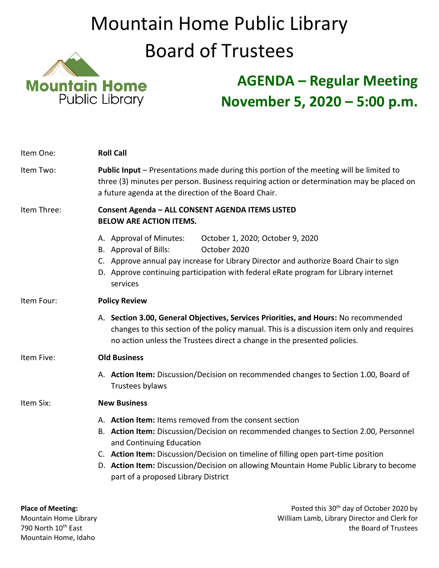## Mountain Home Public Library Board of Trustees



## **AGENDA – Regular Meeting November 5, 2020 – 5:00 p.m.**

| Item One:   | <b>Roll Call</b>                                                                                                                                                                                                                                                                                                                                                                                   |
|-------------|----------------------------------------------------------------------------------------------------------------------------------------------------------------------------------------------------------------------------------------------------------------------------------------------------------------------------------------------------------------------------------------------------|
| Item Two:   | Public Input - Presentations made during this portion of the meeting will be limited to<br>three (3) minutes per person. Business requiring action or determination may be placed on<br>a future agenda at the direction of the Board Chair.                                                                                                                                                       |
| Item Three: | Consent Agenda - ALL CONSENT AGENDA ITEMS LISTED<br><b>BELOW ARE ACTION ITEMS.</b>                                                                                                                                                                                                                                                                                                                 |
|             | A. Approval of Minutes:<br>October 1, 2020; October 9, 2020<br>B. Approval of Bills:<br>October 2020<br>C. Approve annual pay increase for Library Director and authorize Board Chair to sign<br>D. Approve continuing participation with federal eRate program for Library internet<br>services                                                                                                   |
| Item Four:  | <b>Policy Review</b>                                                                                                                                                                                                                                                                                                                                                                               |
|             | A. Section 3.00, General Objectives, Services Priorities, and Hours: No recommended<br>changes to this section of the policy manual. This is a discussion item only and requires<br>no action unless the Trustees direct a change in the presented policies.                                                                                                                                       |
| Item Five:  | <b>Old Business</b>                                                                                                                                                                                                                                                                                                                                                                                |
|             | A. Action Item: Discussion/Decision on recommended changes to Section 1.00, Board of<br>Trustees bylaws                                                                                                                                                                                                                                                                                            |
| Item Six:   | <b>New Business</b>                                                                                                                                                                                                                                                                                                                                                                                |
|             | A. Action Item: Items removed from the consent section<br>B. Action Item: Discussion/Decision on recommended changes to Section 2.00, Personnel<br>and Continuing Education<br>C. Action Item: Discussion/Decision on timeline of filling open part-time position<br>D. Action Item: Discussion/Decision on allowing Mountain Home Public Library to become<br>part of a proposed Library District |

**Place of Meeting:** Place of Meeting: Place of Meeting: Posted this 30<sup>th</sup> day of October 2020 by Mountain Home Library **Mountain Home Library** Mountain Home Library **Mountain Home Library Director and Clerk for**<br>T<sup>90</sup> North 10<sup>th</sup> East the Board of Trustees the Board of Trustees